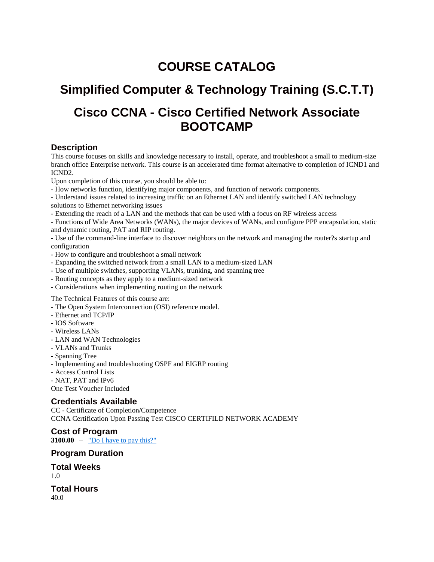## **COURSE CATALOG**

# **Simplified Computer & Technology Training (S.C.T.T)**

## **Cisco CCNA - Cisco Certified Network Associate BOOTCAMP**

#### **Description**

This course focuses on skills and knowledge necessary to install, operate, and troubleshoot a small to medium-size branch office Enterprise network. This course is an accelerated time format alternative to completion of ICND1 and ICND2.

Upon completion of this course, you should be able to:

- How networks function, identifying major components, and function of network components.

- Understand issues related to increasing traffic on an Ethernet LAN and identify switched LAN technology solutions to Ethernet networking issues

- Extending the reach of a LAN and the methods that can be used with a focus on RF wireless access

- Functions of Wide Area Networks (WANs), the major devices of WANs, and configure PPP encapsulation, static and dynamic routing, PAT and RIP routing.

- Use of the command-line interface to discover neighbors on the network and managing the router?s startup and configuration

- How to configure and troubleshoot a small network
- Expanding the switched network from a small LAN to a medium-sized LAN
- Use of multiple switches, supporting VLANs, trunking, and spanning tree
- Routing concepts as they apply to a medium-sized network
- Considerations when implementing routing on the network

The Technical Features of this course are:

- The Open System Interconnection (OSI) reference model.
- Ethernet and TCP/IP
- IOS Software
- Wireless LANs
- LAN and WAN Technologies
- VLANs and Trunks
- Spanning Tree
- Implementing and troubleshooting OSPF and EIGRP routing
- Access Control Lists
- NAT, PAT and IPv6

One Test Voucher Included

#### **Credentials Available**

CC - Certificate of Completion/Competence CCNA Certification Upon Passing Test CISCO CERTIFILD NETWORK ACADEMY

**Cost of Program 3100.00** – <u>["Do I have to pay this?"](http://dlir.state.hi.us/labor/etp/cost.cfm)</u>

#### **Program Duration**

**Total Weeks**

 $1.0$ 

**Total Hours** 40.0